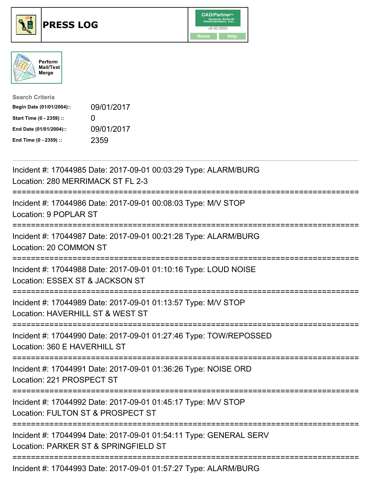





| <b>Search Criteria</b>    |                   |
|---------------------------|-------------------|
| Begin Date (01/01/2004):: | 09/01/2017        |
| Start Time (0 - 2359) ::  | $\mathbf{\Omega}$ |
| End Date (01/01/2004)::   | 09/01/2017        |
| End Time (0 - 2359) ::    | 2359              |

| Incident #: 17044985 Date: 2017-09-01 00:03:29 Type: ALARM/BURG<br>Location: 280 MERRIMACK ST FL 2-3              |
|-------------------------------------------------------------------------------------------------------------------|
| Incident #: 17044986 Date: 2017-09-01 00:08:03 Type: M/V STOP<br>Location: 9 POPLAR ST                            |
| Incident #: 17044987 Date: 2017-09-01 00:21:28 Type: ALARM/BURG<br>Location: 20 COMMON ST                         |
| Incident #: 17044988 Date: 2017-09-01 01:10:16 Type: LOUD NOISE<br>Location: ESSEX ST & JACKSON ST                |
| Incident #: 17044989 Date: 2017-09-01 01:13:57 Type: M/V STOP<br>Location: HAVERHILL ST & WEST ST<br>============ |
| Incident #: 17044990 Date: 2017-09-01 01:27:46 Type: TOW/REPOSSED<br>Location: 360 E HAVERHILL ST                 |
| Incident #: 17044991 Date: 2017-09-01 01:36:26 Type: NOISE ORD<br>Location: 221 PROSPECT ST                       |
| Incident #: 17044992 Date: 2017-09-01 01:45:17 Type: M/V STOP<br>Location: FULTON ST & PROSPECT ST                |
| Incident #: 17044994 Date: 2017-09-01 01:54:11 Type: GENERAL SERV<br>Location: PARKER ST & SPRINGFIELD ST         |
| Incident #: 17044993 Date: 2017-09-01 01:57:27 Type: ALARM/BURG                                                   |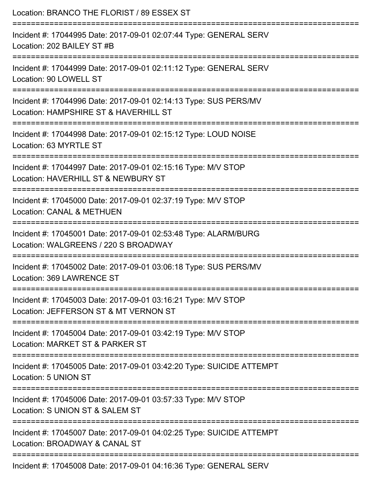| Location: BRANCO THE FLORIST / 89 ESSEX ST                                                                |
|-----------------------------------------------------------------------------------------------------------|
| Incident #: 17044995 Date: 2017-09-01 02:07:44 Type: GENERAL SERV<br>Location: 202 BAILEY ST #B           |
| Incident #: 17044999 Date: 2017-09-01 02:11:12 Type: GENERAL SERV<br>Location: 90 LOWELL ST               |
| Incident #: 17044996 Date: 2017-09-01 02:14:13 Type: SUS PERS/MV<br>Location: HAMPSHIRE ST & HAVERHILL ST |
| Incident #: 17044998 Date: 2017-09-01 02:15:12 Type: LOUD NOISE<br>Location: 63 MYRTLE ST                 |
| Incident #: 17044997 Date: 2017-09-01 02:15:16 Type: M/V STOP<br>Location: HAVERHILL ST & NEWBURY ST      |
| Incident #: 17045000 Date: 2017-09-01 02:37:19 Type: M/V STOP<br><b>Location: CANAL &amp; METHUEN</b>     |
| Incident #: 17045001 Date: 2017-09-01 02:53:48 Type: ALARM/BURG<br>Location: WALGREENS / 220 S BROADWAY   |
| Incident #: 17045002 Date: 2017-09-01 03:06:18 Type: SUS PERS/MV<br>Location: 369 LAWRENCE ST             |
| Incident #: 17045003 Date: 2017-09-01 03:16:21 Type: M/V STOP<br>Location: JEFFERSON ST & MT VERNON ST    |
| Incident #: 17045004 Date: 2017-09-01 03:42:19 Type: M/V STOP<br>Location: MARKET ST & PARKER ST          |
| Incident #: 17045005 Date: 2017-09-01 03:42:20 Type: SUICIDE ATTEMPT<br>Location: 5 UNION ST              |
| Incident #: 17045006 Date: 2017-09-01 03:57:33 Type: M/V STOP<br>Location: S UNION ST & SALEM ST          |
| Incident #: 17045007 Date: 2017-09-01 04:02:25 Type: SUICIDE ATTEMPT<br>Location: BROADWAY & CANAL ST     |
| Incident #: 17045008 Date: 2017-09-01 04:16:36 Type: GENERAL SERV                                         |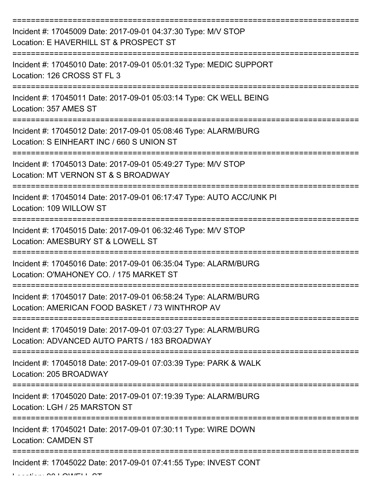| Incident #: 17045009 Date: 2017-09-01 04:37:30 Type: M/V STOP<br>Location: E HAVERHILL ST & PROSPECT ST            |
|--------------------------------------------------------------------------------------------------------------------|
| Incident #: 17045010 Date: 2017-09-01 05:01:32 Type: MEDIC SUPPORT<br>Location: 126 CROSS ST FL 3                  |
| Incident #: 17045011 Date: 2017-09-01 05:03:14 Type: CK WELL BEING<br>Location: 357 AMES ST                        |
| Incident #: 17045012 Date: 2017-09-01 05:08:46 Type: ALARM/BURG<br>Location: S EINHEART INC / 660 S UNION ST       |
| Incident #: 17045013 Date: 2017-09-01 05:49:27 Type: M/V STOP<br>Location: MT VERNON ST & S BROADWAY               |
| Incident #: 17045014 Date: 2017-09-01 06:17:47 Type: AUTO ACC/UNK PI<br>Location: 109 WILLOW ST                    |
| Incident #: 17045015 Date: 2017-09-01 06:32:46 Type: M/V STOP<br>Location: AMESBURY ST & LOWELL ST                 |
| Incident #: 17045016 Date: 2017-09-01 06:35:04 Type: ALARM/BURG<br>Location: O'MAHONEY CO. / 175 MARKET ST         |
| Incident #: 17045017 Date: 2017-09-01 06:58:24 Type: ALARM/BURG<br>Location: AMERICAN FOOD BASKET / 73 WINTHROP AV |
| Incident #: 17045019 Date: 2017-09-01 07:03:27 Type: ALARM/BURG<br>Location: ADVANCED AUTO PARTS / 183 BROADWAY    |
| Incident #: 17045018 Date: 2017-09-01 07:03:39 Type: PARK & WALK<br>Location: 205 BROADWAY                         |
| Incident #: 17045020 Date: 2017-09-01 07:19:39 Type: ALARM/BURG<br>Location: LGH / 25 MARSTON ST                   |
| Incident #: 17045021 Date: 2017-09-01 07:30:11 Type: WIRE DOWN<br><b>Location: CAMDEN ST</b>                       |
| Incident #: 17045022 Date: 2017-09-01 07:41:55 Type: INVEST CONT                                                   |

 $L = L$  .  $L = 90$  LOMELL ST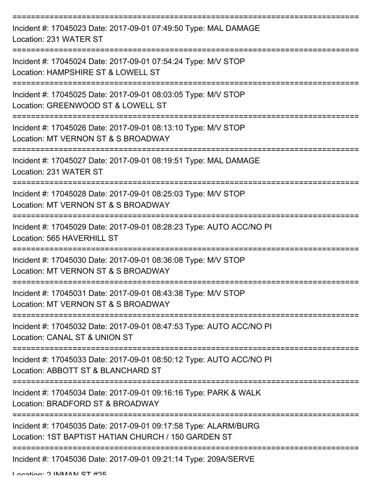| Incident #: 17045023 Date: 2017-09-01 07:49:50 Type: MAL DAMAGE<br>Location: 231 WATER ST                              |
|------------------------------------------------------------------------------------------------------------------------|
| Incident #: 17045024 Date: 2017-09-01 07:54:24 Type: M/V STOP<br>Location: HAMPSHIRE ST & LOWELL ST                    |
| Incident #: 17045025 Date: 2017-09-01 08:03:05 Type: M/V STOP<br>Location: GREENWOOD ST & LOWELL ST                    |
| Incident #: 17045026 Date: 2017-09-01 08:13:10 Type: M/V STOP<br>Location: MT VERNON ST & S BROADWAY                   |
| Incident #: 17045027 Date: 2017-09-01 08:19:51 Type: MAL DAMAGE<br>Location: 231 WATER ST                              |
| Incident #: 17045028 Date: 2017-09-01 08:25:03 Type: M/V STOP<br>Location: MT VERNON ST & S BROADWAY                   |
| Incident #: 17045029 Date: 2017-09-01 08:28:23 Type: AUTO ACC/NO PI<br>Location: 565 HAVERHILL ST<br>============      |
| Incident #: 17045030 Date: 2017-09-01 08:36:08 Type: M/V STOP<br>Location: MT VERNON ST & S BROADWAY                   |
| Incident #: 17045031 Date: 2017-09-01 08:43:38 Type: M/V STOP<br>Location: MT VERNON ST & S BROADWAY                   |
| Incident #: 17045032 Date: 2017-09-01 08:47:53 Type: AUTO ACC/NO PI<br>Location: CANAL ST & UNION ST                   |
| Incident #: 17045033 Date: 2017-09-01 08:50:12 Type: AUTO ACC/NO PI<br>Location: ABBOTT ST & BLANCHARD ST              |
| Incident #: 17045034 Date: 2017-09-01 09:16:16 Type: PARK & WALK<br>Location: BRADFORD ST & BROADWAY                   |
| Incident #: 17045035 Date: 2017-09-01 09:17:58 Type: ALARM/BURG<br>Location: 1ST BAPTIST HATIAN CHURCH / 150 GARDEN ST |
| Incident #: 17045036 Date: 2017-09-01 09:21:14 Type: 209A/SERVE                                                        |

Location: 2 INIMANI CT #25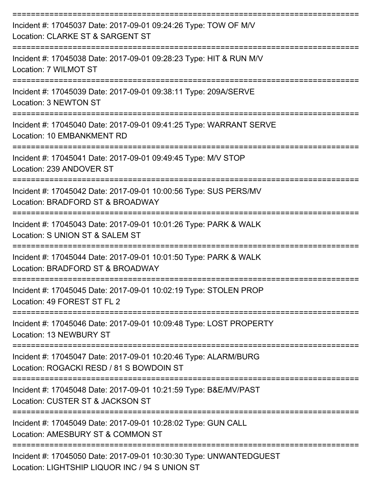| Incident #: 17045037 Date: 2017-09-01 09:24:26 Type: TOW OF M/V<br>Location: CLARKE ST & SARGENT ST               |
|-------------------------------------------------------------------------------------------------------------------|
| Incident #: 17045038 Date: 2017-09-01 09:28:23 Type: HIT & RUN M/V<br>Location: 7 WILMOT ST                       |
| =====================<br>Incident #: 17045039 Date: 2017-09-01 09:38:11 Type: 209A/SERVE<br>Location: 3 NEWTON ST |
| Incident #: 17045040 Date: 2017-09-01 09:41:25 Type: WARRANT SERVE<br>Location: 10 EMBANKMENT RD                  |
| Incident #: 17045041 Date: 2017-09-01 09:49:45 Type: M/V STOP<br>Location: 239 ANDOVER ST                         |
| Incident #: 17045042 Date: 2017-09-01 10:00:56 Type: SUS PERS/MV<br>Location: BRADFORD ST & BROADWAY              |
| Incident #: 17045043 Date: 2017-09-01 10:01:26 Type: PARK & WALK<br>Location: S UNION ST & SALEM ST               |
| Incident #: 17045044 Date: 2017-09-01 10:01:50 Type: PARK & WALK<br>Location: BRADFORD ST & BROADWAY              |
| Incident #: 17045045 Date: 2017-09-01 10:02:19 Type: STOLEN PROP<br>Location: 49 FOREST ST FL 2                   |
| Incident #: 17045046 Date: 2017-09-01 10:09:48 Type: LOST PROPERTY<br><b>Location: 13 NEWBURY ST</b>              |
| Incident #: 17045047 Date: 2017-09-01 10:20:46 Type: ALARM/BURG<br>Location: ROGACKI RESD / 81 S BOWDOIN ST       |
| Incident #: 17045048 Date: 2017-09-01 10:21:59 Type: B&E/MV/PAST<br>Location: CUSTER ST & JACKSON ST              |
| Incident #: 17045049 Date: 2017-09-01 10:28:02 Type: GUN CALL<br>Location: AMESBURY ST & COMMON ST                |
| Incident #: 17045050 Date: 2017-09-01 10:30:30 Type: UNWANTEDGUEST                                                |

Location: LIGHTSHIP LIQUOR INC / 94 S UNION ST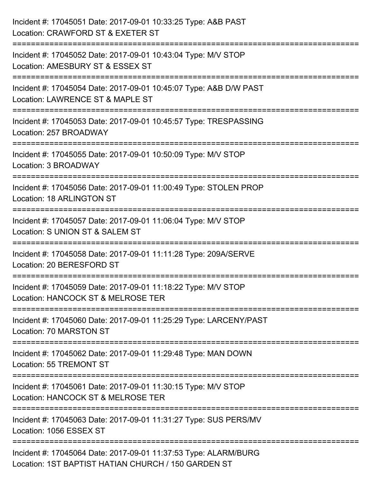| Incident #: 17045051 Date: 2017-09-01 10:33:25 Type: A&B PAST<br>Location: CRAWFORD ST & EXETER ST                        |
|---------------------------------------------------------------------------------------------------------------------------|
| ==================<br>Incident #: 17045052 Date: 2017-09-01 10:43:04 Type: M/V STOP<br>Location: AMESBURY ST & ESSEX ST   |
| Incident #: 17045054 Date: 2017-09-01 10:45:07 Type: A&B D/W PAST<br>Location: LAWRENCE ST & MAPLE ST<br>================ |
| Incident #: 17045053 Date: 2017-09-01 10:45:57 Type: TRESPASSING<br>Location: 257 BROADWAY                                |
| Incident #: 17045055 Date: 2017-09-01 10:50:09 Type: M/V STOP<br>Location: 3 BROADWAY                                     |
| Incident #: 17045056 Date: 2017-09-01 11:00:49 Type: STOLEN PROP<br><b>Location: 18 ARLINGTON ST</b>                      |
| Incident #: 17045057 Date: 2017-09-01 11:06:04 Type: M/V STOP<br>Location: S UNION ST & SALEM ST                          |
| Incident #: 17045058 Date: 2017-09-01 11:11:28 Type: 209A/SERVE<br>Location: 20 BERESFORD ST                              |
| Incident #: 17045059 Date: 2017-09-01 11:18:22 Type: M/V STOP<br>Location: HANCOCK ST & MELROSE TER                       |
| Incident #: 17045060 Date: 2017-09-01 11:25:29 Type: LARCENY/PAST<br>Location: 70 MARSTON ST                              |
| Incident #: 17045062 Date: 2017-09-01 11:29:48 Type: MAN DOWN<br><b>Location: 55 TREMONT ST</b>                           |
| Incident #: 17045061 Date: 2017-09-01 11:30:15 Type: M/V STOP<br>Location: HANCOCK ST & MELROSE TER                       |
| Incident #: 17045063 Date: 2017-09-01 11:31:27 Type: SUS PERS/MV<br>Location: 1056 ESSEX ST                               |
| Incident #: 17045064 Date: 2017-09-01 11:37:53 Type: ALARM/BURG<br>Location: 1ST BAPTIST HATIAN CHURCH / 150 GARDEN ST    |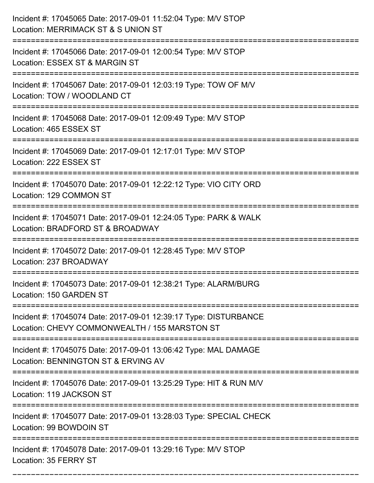| Incident #: 17045065 Date: 2017-09-01 11:52:04 Type: M/V STOP<br>Location: MERRIMACK ST & S UNION ST                                            |
|-------------------------------------------------------------------------------------------------------------------------------------------------|
| ======================<br>Incident #: 17045066 Date: 2017-09-01 12:00:54 Type: M/V STOP<br>Location: ESSEX ST & MARGIN ST                       |
| Incident #: 17045067 Date: 2017-09-01 12:03:19 Type: TOW OF M/V<br>Location: TOW / WOODLAND CT                                                  |
| Incident #: 17045068 Date: 2017-09-01 12:09:49 Type: M/V STOP<br>Location: 465 ESSEX ST                                                         |
| Incident #: 17045069 Date: 2017-09-01 12:17:01 Type: M/V STOP<br>Location: 222 ESSEX ST                                                         |
| Incident #: 17045070 Date: 2017-09-01 12:22:12 Type: VIO CITY ORD<br>Location: 129 COMMON ST                                                    |
| Incident #: 17045071 Date: 2017-09-01 12:24:05 Type: PARK & WALK<br>Location: BRADFORD ST & BROADWAY                                            |
| Incident #: 17045072 Date: 2017-09-01 12:28:45 Type: M/V STOP<br>Location: 237 BROADWAY                                                         |
| Incident #: 17045073 Date: 2017-09-01 12:38:21 Type: ALARM/BURG<br>Location: 150 GARDEN ST                                                      |
| Incident #: 17045074 Date: 2017-09-01 12:39:17 Type: DISTURBANCE<br>Location: CHEVY COMMONWEALTH / 155 MARSTON ST<br>========================== |
| Incident #: 17045075 Date: 2017-09-01 13:06:42 Type: MAL DAMAGE<br>Location: BENNINGTON ST & ERVING AV                                          |
| Incident #: 17045076 Date: 2017-09-01 13:25:29 Type: HIT & RUN M/V<br>Location: 119 JACKSON ST                                                  |
| Incident #: 17045077 Date: 2017-09-01 13:28:03 Type: SPECIAL CHECK<br>Location: 99 BOWDOIN ST                                                   |
| Incident #: 17045078 Date: 2017-09-01 13:29:16 Type: M/V STOP<br>Location: 35 FERRY ST                                                          |

===========================================================================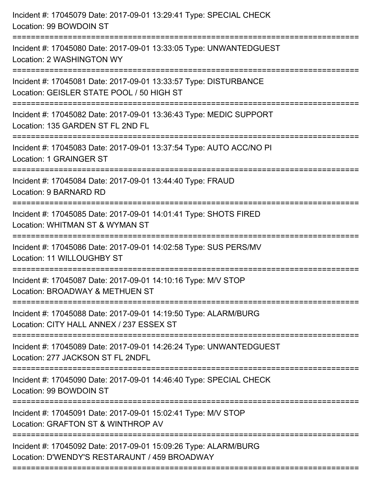| Incident #: 17045079 Date: 2017-09-01 13:29:41 Type: SPECIAL CHECK<br>Location: 99 BOWDOIN ST                                          |
|----------------------------------------------------------------------------------------------------------------------------------------|
| Incident #: 17045080 Date: 2017-09-01 13:33:05 Type: UNWANTEDGUEST<br>Location: 2 WASHINGTON WY                                        |
| Incident #: 17045081 Date: 2017-09-01 13:33:57 Type: DISTURBANCE<br>Location: GEISLER STATE POOL / 50 HIGH ST<br>===================== |
| Incident #: 17045082 Date: 2017-09-01 13:36:43 Type: MEDIC SUPPORT<br>Location: 135 GARDEN ST FL 2ND FL                                |
| Incident #: 17045083 Date: 2017-09-01 13:37:54 Type: AUTO ACC/NO PI<br>Location: 1 GRAINGER ST                                         |
| Incident #: 17045084 Date: 2017-09-01 13:44:40 Type: FRAUD<br>Location: 9 BARNARD RD                                                   |
| Incident #: 17045085 Date: 2017-09-01 14:01:41 Type: SHOTS FIRED<br>Location: WHITMAN ST & WYMAN ST                                    |
| Incident #: 17045086 Date: 2017-09-01 14:02:58 Type: SUS PERS/MV<br>Location: 11 WILLOUGHBY ST                                         |
| Incident #: 17045087 Date: 2017-09-01 14:10:16 Type: M/V STOP<br>Location: BROADWAY & METHUEN ST                                       |
| Incident #: 17045088 Date: 2017-09-01 14:19:50 Type: ALARM/BURG<br>Location: CITY HALL ANNEX / 237 ESSEX ST                            |
| Incident #: 17045089 Date: 2017-09-01 14:26:24 Type: UNWANTEDGUEST<br>Location: 277 JACKSON ST FL 2NDFL                                |
| Incident #: 17045090 Date: 2017-09-01 14:46:40 Type: SPECIAL CHECK<br>Location: 99 BOWDOIN ST                                          |
| Incident #: 17045091 Date: 2017-09-01 15:02:41 Type: M/V STOP<br>Location: GRAFTON ST & WINTHROP AV                                    |
| Incident #: 17045092 Date: 2017-09-01 15:09:26 Type: ALARM/BURG<br>Location: D'WENDY'S RESTARAUNT / 459 BROADWAY                       |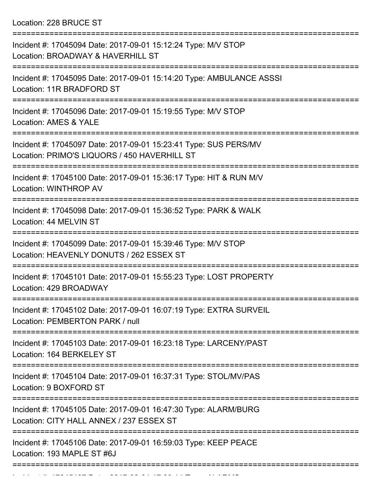Location: 228 BRUCE ST

| Incident #: 17045094 Date: 2017-09-01 15:12:24 Type: M/V STOP<br>Location: BROADWAY & HAVERHILL ST               |
|------------------------------------------------------------------------------------------------------------------|
| Incident #: 17045095 Date: 2017-09-01 15:14:20 Type: AMBULANCE ASSSI<br>Location: 11R BRADFORD ST                |
| Incident #: 17045096 Date: 2017-09-01 15:19:55 Type: M/V STOP<br>Location: AMES & YALE                           |
| Incident #: 17045097 Date: 2017-09-01 15:23:41 Type: SUS PERS/MV<br>Location: PRIMO'S LIQUORS / 450 HAVERHILL ST |
| Incident #: 17045100 Date: 2017-09-01 15:36:17 Type: HIT & RUN M/V<br>Location: WINTHROP AV                      |
| Incident #: 17045098 Date: 2017-09-01 15:36:52 Type: PARK & WALK<br>Location: 44 MELVIN ST                       |
| Incident #: 17045099 Date: 2017-09-01 15:39:46 Type: M/V STOP<br>Location: HEAVENLY DONUTS / 262 ESSEX ST        |
| Incident #: 17045101 Date: 2017-09-01 15:55:23 Type: LOST PROPERTY<br>Location: 429 BROADWAY                     |
| Incident #: 17045102 Date: 2017-09-01 16:07:19 Type: EXTRA SURVEIL<br>Location: PEMBERTON PARK / null            |
| Incident #: 17045103 Date: 2017-09-01 16:23:18 Type: LARCENY/PAST<br>Location: 164 BERKELEY ST                   |
| Incident #: 17045104 Date: 2017-09-01 16:37:31 Type: STOL/MV/PAS<br>Location: 9 BOXFORD ST                       |
| Incident #: 17045105 Date: 2017-09-01 16:47:30 Type: ALARM/BURG<br>Location: CITY HALL ANNEX / 237 ESSEX ST      |
| Incident #: 17045106 Date: 2017-09-01 16:59:03 Type: KEEP PEACE<br>Location: 193 MAPLE ST #6J                    |
|                                                                                                                  |

Incident #: 17045107 Date: 2017 09 01 17:09:11 Type: ALARMS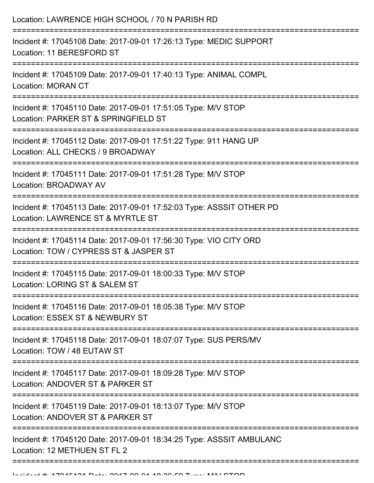| Location: LAWRENCE HIGH SCHOOL / 70 N PARISH RD<br>===================================                                                  |
|-----------------------------------------------------------------------------------------------------------------------------------------|
| Incident #: 17045108 Date: 2017-09-01 17:26:13 Type: MEDIC SUPPORT<br>Location: 11 BERESFORD ST<br>----------------<br>---------------- |
| Incident #: 17045109 Date: 2017-09-01 17:40:13 Type: ANIMAL COMPL<br><b>Location: MORAN CT</b>                                          |
| Incident #: 17045110 Date: 2017-09-01 17:51:05 Type: M/V STOP<br>Location: PARKER ST & SPRINGFIELD ST                                   |
| Incident #: 17045112 Date: 2017-09-01 17:51:22 Type: 911 HANG UP<br>Location: ALL CHECKS / 9 BROADWAY                                   |
| Incident #: 17045111 Date: 2017-09-01 17:51:28 Type: M/V STOP<br>Location: BROADWAY AV                                                  |
| Incident #: 17045113 Date: 2017-09-01 17:52:03 Type: ASSSIT OTHER PD<br>Location: LAWRENCE ST & MYRTLE ST                               |
| Incident #: 17045114 Date: 2017-09-01 17:56:30 Type: VIO CITY ORD<br>Location: TOW / CYPRESS ST & JASPER ST                             |
| Incident #: 17045115 Date: 2017-09-01 18:00:33 Type: M/V STOP<br>Location: LORING ST & SALEM ST                                         |
| Incident #: 17045116 Date: 2017-09-01 18:05:38 Type: M/V STOP<br>Location: ESSEX ST & NEWBURY ST                                        |
| Incident #: 17045118 Date: 2017-09-01 18:07:07 Type: SUS PERS/MV<br>Location: TOW / 48 EUTAW ST                                         |
| Incident #: 17045117 Date: 2017-09-01 18:09:28 Type: M/V STOP<br>Location: ANDOVER ST & PARKER ST                                       |
| Incident #: 17045119 Date: 2017-09-01 18:13:07 Type: M/V STOP<br>Location: ANDOVER ST & PARKER ST                                       |
| Incident #: 17045120 Date: 2017-09-01 18:34:25 Type: ASSSIT AMBULANC<br>Location: 12 METHUEN ST FL 2                                    |
|                                                                                                                                         |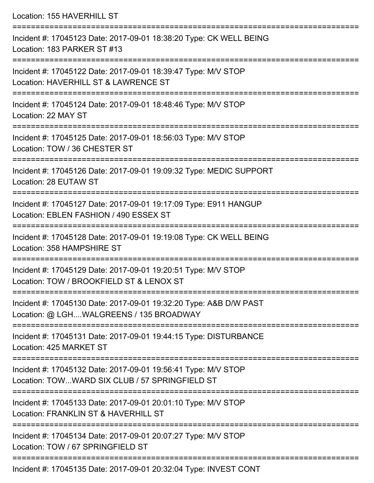Location: 155 HAVERHILL ST =========================================================================== Incident #: 17045123 Date: 2017-09-01 18:38:20 Type: CK WELL BEING Location: 183 PARKER ST #13 =========================================================================== Incident #: 17045122 Date: 2017-09-01 18:39:47 Type: M/V STOP Location: HAVERHILL ST & LAWRENCE ST =========================================================================== Incident #: 17045124 Date: 2017-09-01 18:48:46 Type: M/V STOP Location: 22 MAY ST =========================================================================== Incident #: 17045125 Date: 2017-09-01 18:56:03 Type: M/V STOP Location: TOW / 36 CHESTER ST =========================================================================== Incident #: 17045126 Date: 2017-09-01 19:09:32 Type: MEDIC SUPPORT Location: 28 EUTAW ST =========================================================================== Incident #: 17045127 Date: 2017-09-01 19:17:09 Type: E911 HANGUP Location: EBLEN FASHION / 490 ESSEX ST =========================================================================== Incident #: 17045128 Date: 2017-09-01 19:19:08 Type: CK WELL BEING Location: 358 HAMPSHIRE ST =========================================================================== Incident #: 17045129 Date: 2017-09-01 19:20:51 Type: M/V STOP Location: TOW / BROOKFIELD ST & LENOX ST =========================================================================== Incident #: 17045130 Date: 2017-09-01 19:32:20 Type: A&B D/W PAST Location: @ LGH....WALGREENS / 135 BROADWAY =========================================================================== Incident #: 17045131 Date: 2017-09-01 19:44:15 Type: DISTURBANCE Location: 425 MARKET ST =========================================================================== Incident #: 17045132 Date: 2017-09-01 19:56:41 Type: M/V STOP Location: TOW...WARD SIX CLUB / 57 SPRINGFIELD ST =========================================================================== Incident #: 17045133 Date: 2017-09-01 20:01:10 Type: M/V STOP Location: FRANKLIN ST & HAVERHILL ST =========================================================================== Incident #: 17045134 Date: 2017-09-01 20:07:27 Type: M/V STOP Location: TOW / 67 SPRINGFIFLD ST ===========================================================================

Incident #: 17045135 Date: 2017-09-01 20:32:04 Type: INVEST CONT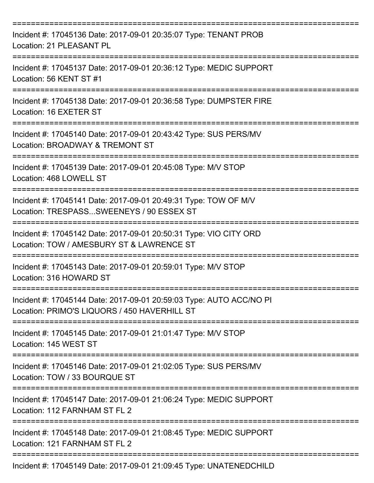| Incident #: 17045136 Date: 2017-09-01 20:35:07 Type: TENANT PROB<br>Location: 21 PLEASANT PL                           |
|------------------------------------------------------------------------------------------------------------------------|
| Incident #: 17045137 Date: 2017-09-01 20:36:12 Type: MEDIC SUPPORT<br>Location: 56 KENT ST #1                          |
| Incident #: 17045138 Date: 2017-09-01 20:36:58 Type: DUMPSTER FIRE<br>Location: 16 EXETER ST                           |
| Incident #: 17045140 Date: 2017-09-01 20:43:42 Type: SUS PERS/MV<br>Location: BROADWAY & TREMONT ST<br>--------------- |
| Incident #: 17045139 Date: 2017-09-01 20:45:08 Type: M/V STOP<br>Location: 468 LOWELL ST                               |
| Incident #: 17045141 Date: 2017-09-01 20:49:31 Type: TOW OF M/V<br>Location: TRESPASSSWEENEYS / 90 ESSEX ST            |
| Incident #: 17045142 Date: 2017-09-01 20:50:31 Type: VIO CITY ORD<br>Location: TOW / AMESBURY ST & LAWRENCE ST         |
| Incident #: 17045143 Date: 2017-09-01 20:59:01 Type: M/V STOP<br>Location: 316 HOWARD ST                               |
| Incident #: 17045144 Date: 2017-09-01 20:59:03 Type: AUTO ACC/NO PI<br>Location: PRIMO'S LIQUORS / 450 HAVERHILL ST    |
| Incident #: 17045145 Date: 2017-09-01 21:01:47 Type: M/V STOP<br>Location: 145 WEST ST                                 |
| Incident #: 17045146 Date: 2017-09-01 21:02:05 Type: SUS PERS/MV<br>Location: TOW / 33 BOURQUE ST                      |
| Incident #: 17045147 Date: 2017-09-01 21:06:24 Type: MEDIC SUPPORT<br>Location: 112 FARNHAM ST FL 2                    |
| Incident #: 17045148 Date: 2017-09-01 21:08:45 Type: MEDIC SUPPORT<br>Location: 121 FARNHAM ST FL 2                    |
| Incident #: 17045149 Date: 2017-09-01 21:09:45 Type: UNATENEDCHILD                                                     |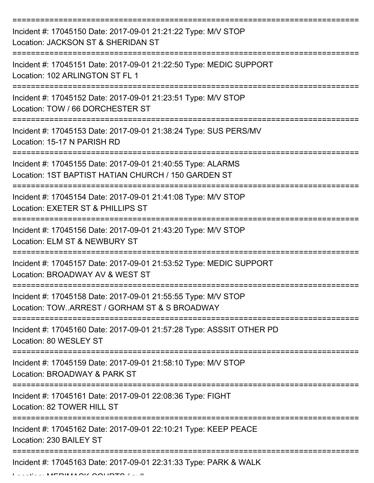| Incident #: 17045150 Date: 2017-09-01 21:21:22 Type: M/V STOP<br>Location: JACKSON ST & SHERIDAN ST                |
|--------------------------------------------------------------------------------------------------------------------|
| Incident #: 17045151 Date: 2017-09-01 21:22:50 Type: MEDIC SUPPORT<br>Location: 102 ARLINGTON ST FL 1              |
| Incident #: 17045152 Date: 2017-09-01 21:23:51 Type: M/V STOP<br>Location: TOW / 66 DORCHESTER ST                  |
| Incident #: 17045153 Date: 2017-09-01 21:38:24 Type: SUS PERS/MV<br>Location: 15-17 N PARISH RD                    |
| Incident #: 17045155 Date: 2017-09-01 21:40:55 Type: ALARMS<br>Location: 1ST BAPTIST HATIAN CHURCH / 150 GARDEN ST |
| Incident #: 17045154 Date: 2017-09-01 21:41:08 Type: M/V STOP<br>Location: EXETER ST & PHILLIPS ST                 |
| Incident #: 17045156 Date: 2017-09-01 21:43:20 Type: M/V STOP<br>Location: ELM ST & NEWBURY ST                     |
| Incident #: 17045157 Date: 2017-09-01 21:53:52 Type: MEDIC SUPPORT<br>Location: BROADWAY AV & WEST ST              |
| Incident #: 17045158 Date: 2017-09-01 21:55:55 Type: M/V STOP<br>Location: TOWARREST / GORHAM ST & S BROADWAY      |
| Incident #: 17045160 Date: 2017-09-01 21:57:28 Type: ASSSIT OTHER PD<br>Location: 80 WESLEY ST                     |
| Incident #: 17045159 Date: 2017-09-01 21:58:10 Type: M/V STOP<br>Location: BROADWAY & PARK ST                      |
| Incident #: 17045161 Date: 2017-09-01 22:08:36 Type: FIGHT<br>Location: 82 TOWER HILL ST                           |
| Incident #: 17045162 Date: 2017-09-01 22:10:21 Type: KEEP PEACE<br>Location: 230 BAILEY ST                         |
| ------------------<br>Incident #: 17045163 Date: 2017-09-01 22:31:33 Type: PARK & WALK                             |